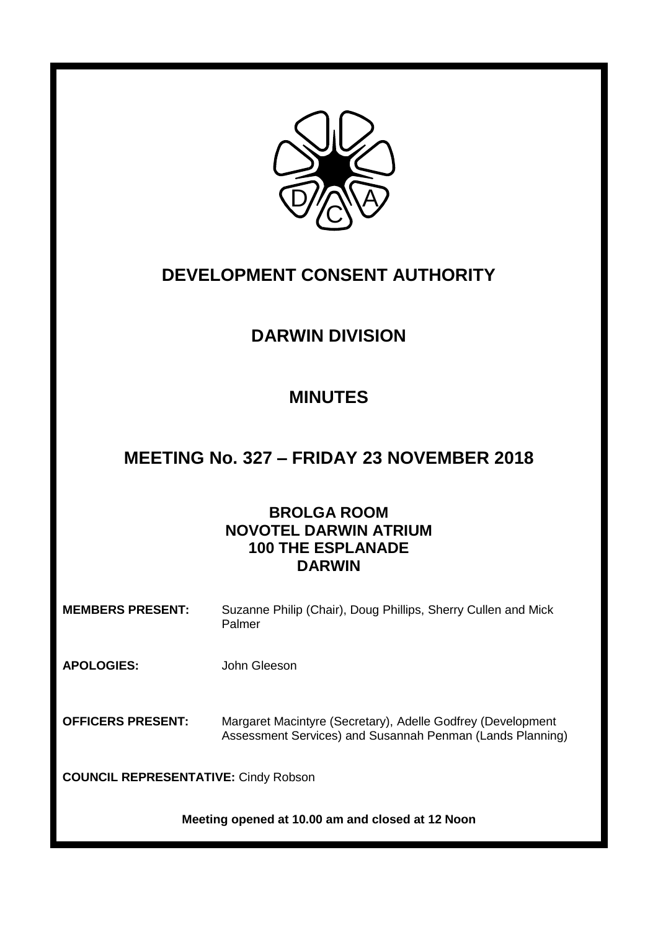

# **DEVELOPMENT CONSENT AUTHORITY**

# **DARWIN DIVISION**

## **MINUTES**

## **MEETING No. 327 – FRIDAY 23 NOVEMBER 2018**

## **BROLGA ROOM NOVOTEL DARWIN ATRIUM 100 THE ESPLANADE DARWIN**

**MEMBERS PRESENT:** Suzanne Philip (Chair), Doug Phillips, Sherry Cullen and Mick Palmer

**APOLOGIES:** John Gleeson

**OFFICERS PRESENT:** Margaret Macintyre (Secretary), Adelle Godfrey (Development Assessment Services) and Susannah Penman (Lands Planning)

**COUNCIL REPRESENTATIVE:** Cindy Robson

**Meeting opened at 10.00 am and closed at 12 Noon**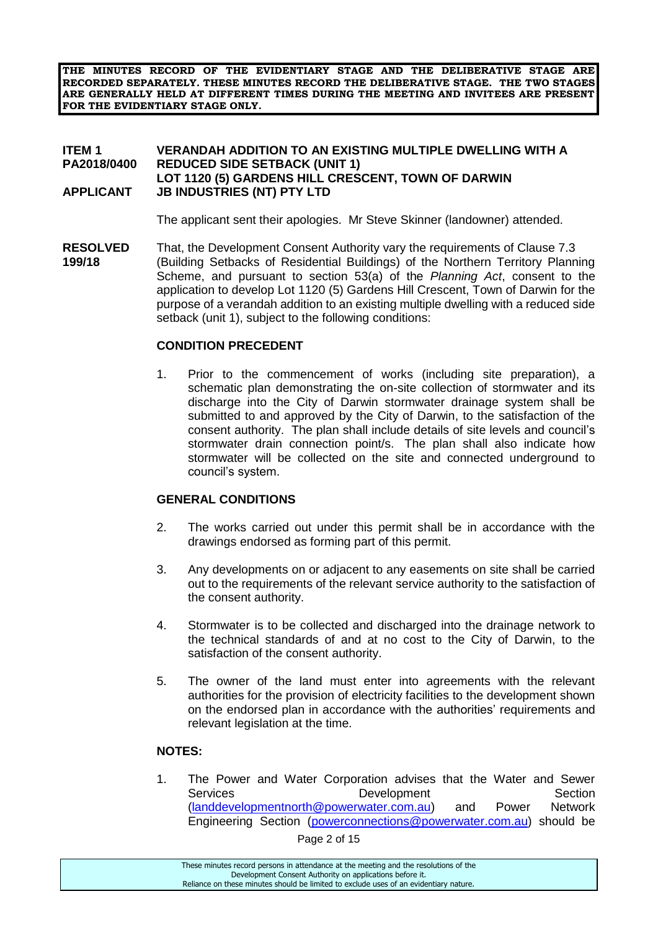**THE MINUTES RECORD OF THE EVIDENTIARY STAGE AND THE DELIBERATIVE STAGE ARE RECORDED SEPARATELY. THESE MINUTES RECORD THE DELIBERATIVE STAGE. THE TWO STAGES ARE GENERALLY HELD AT DIFFERENT TIMES DURING THE MEETING AND INVITEES ARE PRESENT FOR THE EVIDENTIARY STAGE ONLY.**

#### **ITEM 1 VERANDAH ADDITION TO AN EXISTING MULTIPLE DWELLING WITH A PA2018/0400 REDUCED SIDE SETBACK (UNIT 1) LOT 1120 (5) GARDENS HILL CRESCENT, TOWN OF DARWIN APPLICANT JB INDUSTRIES (NT) PTY LTD**

The applicant sent their apologies. Mr Steve Skinner (landowner) attended.

**RESOLVED** That, the Development Consent Authority vary the requirements of Clause 7.3 **199/18** (Building Setbacks of Residential Buildings) of the Northern Territory Planning Scheme, and pursuant to section 53(a) of the *Planning Act*, consent to the application to develop Lot 1120 (5) Gardens Hill Crescent, Town of Darwin for the purpose of a verandah addition to an existing multiple dwelling with a reduced side setback (unit 1), subject to the following conditions:

### **CONDITION PRECEDENT**

1. Prior to the commencement of works (including site preparation), a schematic plan demonstrating the on-site collection of stormwater and its discharge into the City of Darwin stormwater drainage system shall be submitted to and approved by the City of Darwin, to the satisfaction of the consent authority. The plan shall include details of site levels and council's stormwater drain connection point/s. The plan shall also indicate how stormwater will be collected on the site and connected underground to council's system.

### **GENERAL CONDITIONS**

- 2. The works carried out under this permit shall be in accordance with the drawings endorsed as forming part of this permit.
- 3. Any developments on or adjacent to any easements on site shall be carried out to the requirements of the relevant service authority to the satisfaction of the consent authority.
- 4. Stormwater is to be collected and discharged into the drainage network to the technical standards of and at no cost to the City of Darwin, to the satisfaction of the consent authority.
- 5. The owner of the land must enter into agreements with the relevant authorities for the provision of electricity facilities to the development shown on the endorsed plan in accordance with the authorities' requirements and relevant legislation at the time.

### **NOTES:**

1. The Power and Water Corporation advises that the Water and Sewer Services **Development** Development Section [\(landdevelopmentnorth@powerwater.com.au\)](mailto:landdevelopmentnorth@powerwater.com.au) and Power Network Engineering Section [\(powerconnections@powerwater.com.au\)](mailto:powerconnections@powerwater.com.au) should be

Page 2 of 15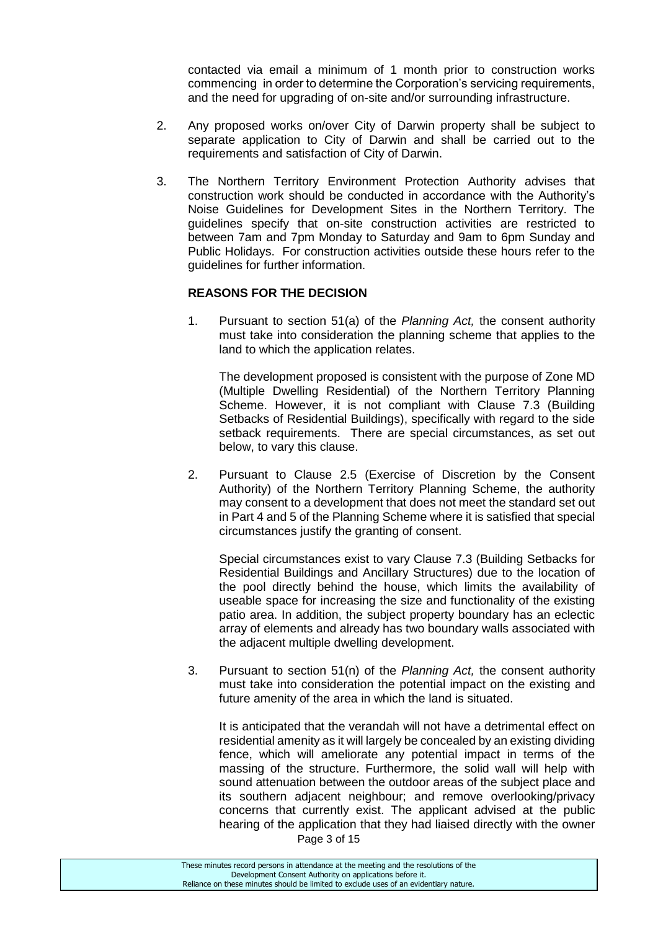contacted via email a minimum of 1 month prior to construction works commencing in order to determine the Corporation's servicing requirements, and the need for upgrading of on-site and/or surrounding infrastructure.

- 2. Any proposed works on/over City of Darwin property shall be subject to separate application to City of Darwin and shall be carried out to the requirements and satisfaction of City of Darwin.
- 3. The Northern Territory Environment Protection Authority advises that construction work should be conducted in accordance with the Authority's Noise Guidelines for Development Sites in the Northern Territory. The guidelines specify that on-site construction activities are restricted to between 7am and 7pm Monday to Saturday and 9am to 6pm Sunday and Public Holidays. For construction activities outside these hours refer to the guidelines for further information.

## **REASONS FOR THE DECISION**

1. Pursuant to section 51(a) of the *Planning Act,* the consent authority must take into consideration the planning scheme that applies to the land to which the application relates.

The development proposed is consistent with the purpose of Zone MD (Multiple Dwelling Residential) of the Northern Territory Planning Scheme. However, it is not compliant with Clause 7.3 (Building Setbacks of Residential Buildings), specifically with regard to the side setback requirements. There are special circumstances, as set out below, to vary this clause.

2. Pursuant to Clause 2.5 (Exercise of Discretion by the Consent Authority) of the Northern Territory Planning Scheme, the authority may consent to a development that does not meet the standard set out in Part 4 and 5 of the Planning Scheme where it is satisfied that special circumstances justify the granting of consent.

Special circumstances exist to vary Clause 7.3 (Building Setbacks for Residential Buildings and Ancillary Structures) due to the location of the pool directly behind the house, which limits the availability of useable space for increasing the size and functionality of the existing patio area. In addition, the subject property boundary has an eclectic array of elements and already has two boundary walls associated with the adjacent multiple dwelling development.

3. Pursuant to section 51(n) of the *Planning Act,* the consent authority must take into consideration the potential impact on the existing and future amenity of the area in which the land is situated.

It is anticipated that the verandah will not have a detrimental effect on residential amenity as it will largely be concealed by an existing dividing fence, which will ameliorate any potential impact in terms of the massing of the structure. Furthermore, the solid wall will help with sound attenuation between the outdoor areas of the subject place and its southern adjacent neighbour; and remove overlooking/privacy concerns that currently exist. The applicant advised at the public hearing of the application that they had liaised directly with the owner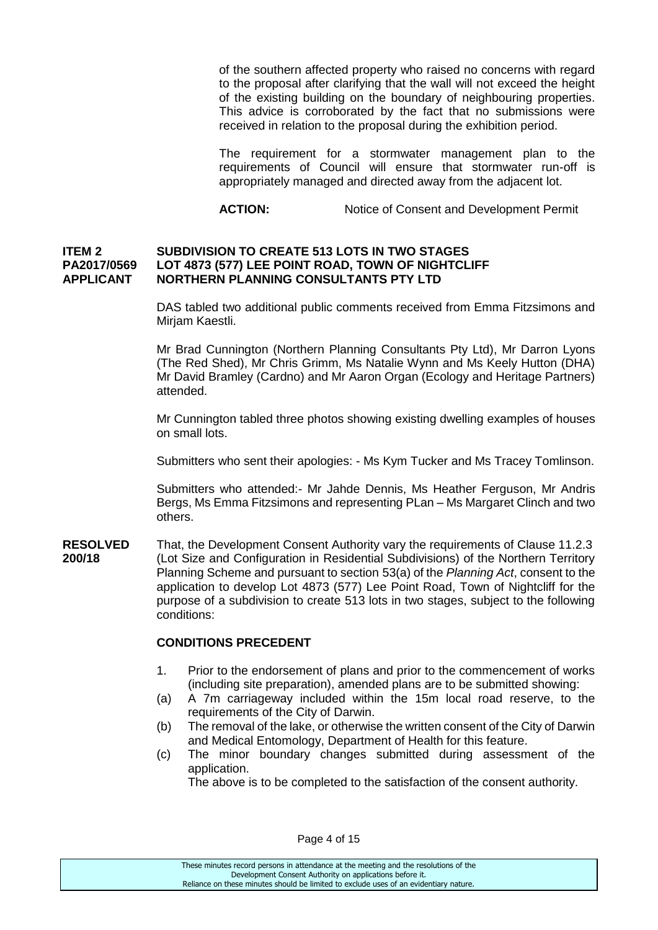of the southern affected property who raised no concerns with regard to the proposal after clarifying that the wall will not exceed the height of the existing building on the boundary of neighbouring properties. This advice is corroborated by the fact that no submissions were received in relation to the proposal during the exhibition period.

The requirement for a stormwater management plan to the requirements of Council will ensure that stormwater run-off is appropriately managed and directed away from the adjacent lot.

**ACTION:** Notice of Consent and Development Permit

#### **ITEM 2 SUBDIVISION TO CREATE 513 LOTS IN TWO STAGES PA2017/0569 LOT 4873 (577) LEE POINT ROAD, TOWN OF NIGHTCLIFF APPLICANT NORTHERN PLANNING CONSULTANTS PTY LTD**

DAS tabled two additional public comments received from Emma Fitzsimons and Mirjam Kaestli.

Mr Brad Cunnington (Northern Planning Consultants Pty Ltd), Mr Darron Lyons (The Red Shed), Mr Chris Grimm, Ms Natalie Wynn and Ms Keely Hutton (DHA) Mr David Bramley (Cardno) and Mr Aaron Organ (Ecology and Heritage Partners) attended.

Mr Cunnington tabled three photos showing existing dwelling examples of houses on small lots.

Submitters who sent their apologies: - Ms Kym Tucker and Ms Tracey Tomlinson.

Submitters who attended:- Mr Jahde Dennis, Ms Heather Ferguson, Mr Andris Bergs, Ms Emma Fitzsimons and representing PLan – Ms Margaret Clinch and two others.

**RESOLVED** That, the Development Consent Authority vary the requirements of Clause 11.2.3 **200/18** (Lot Size and Configuration in Residential Subdivisions) of the Northern Territory Planning Scheme and pursuant to section 53(a) of the *Planning Act*, consent to the application to develop Lot 4873 (577) Lee Point Road, Town of Nightcliff for the purpose of a subdivision to create 513 lots in two stages, subject to the following conditions:

### **CONDITIONS PRECEDENT**

- 1. Prior to the endorsement of plans and prior to the commencement of works (including site preparation), amended plans are to be submitted showing:
- (a) A 7m carriageway included within the 15m local road reserve, to the requirements of the City of Darwin.
- (b) The removal of the lake, or otherwise the written consent of the City of Darwin and Medical Entomology, Department of Health for this feature.
- (c) The minor boundary changes submitted during assessment of the application.

The above is to be completed to the satisfaction of the consent authority.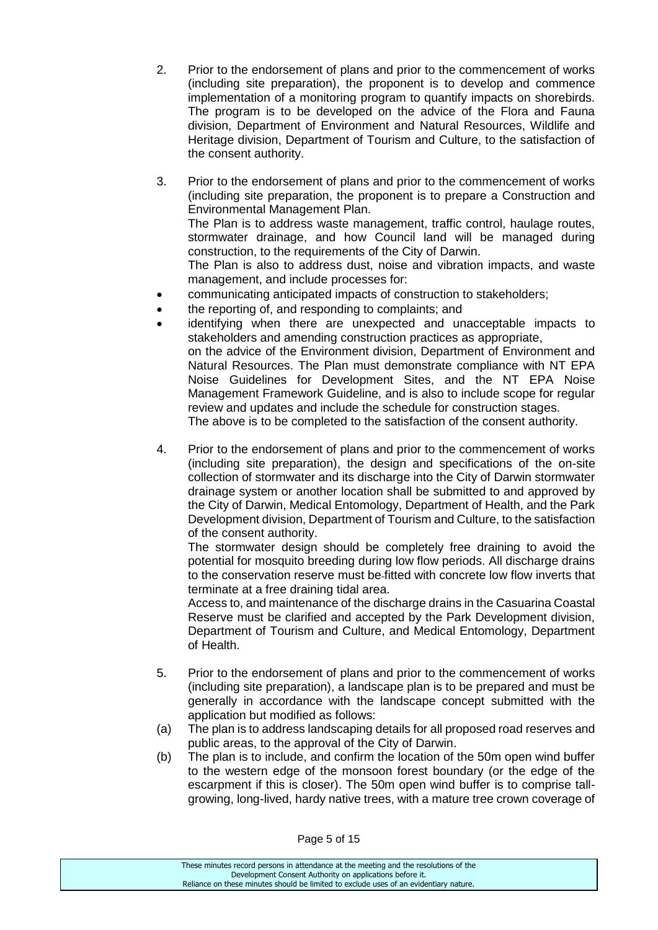- 2. Prior to the endorsement of plans and prior to the commencement of works (including site preparation), the proponent is to develop and commence implementation of a monitoring program to quantify impacts on shorebirds. The program is to be developed on the advice of the Flora and Fauna division, Department of Environment and Natural Resources, Wildlife and Heritage division, Department of Tourism and Culture, to the satisfaction of the consent authority.
- 3. Prior to the endorsement of plans and prior to the commencement of works (including site preparation, the proponent is to prepare a Construction and Environmental Management Plan. The Plan is to address waste management, traffic control, haulage routes,

stormwater drainage, and how Council land will be managed during construction, to the requirements of the City of Darwin.

The Plan is also to address dust, noise and vibration impacts, and waste management, and include processes for:

- communicating anticipated impacts of construction to stakeholders;
- the reporting of, and responding to complaints; and
- identifying when there are unexpected and unacceptable impacts to stakeholders and amending construction practices as appropriate, on the advice of the Environment division, Department of Environment and Natural Resources. The Plan must demonstrate compliance with NT EPA Noise Guidelines for Development Sites, and the NT EPA Noise Management Framework Guideline, and is also to include scope for regular review and updates and include the schedule for construction stages. The above is to be completed to the satisfaction of the consent authority.
- 4. Prior to the endorsement of plans and prior to the commencement of works (including site preparation), the design and specifications of the on-site collection of stormwater and its discharge into the City of Darwin stormwater drainage system or another location shall be submitted to and approved by the City of Darwin, Medical Entomology, Department of Health, and the Park Development division, Department of Tourism and Culture, to the satisfaction of the consent authority.

The stormwater design should be completely free draining to avoid the potential for mosquito breeding during low flow periods. All discharge drains to the conservation reserve must be fitted with concrete low flow inverts that terminate at a free draining tidal area.

Access to, and maintenance of the discharge drains in the Casuarina Coastal Reserve must be clarified and accepted by the Park Development division, Department of Tourism and Culture, and Medical Entomology, Department of Health.

- 5. Prior to the endorsement of plans and prior to the commencement of works (including site preparation), a landscape plan is to be prepared and must be generally in accordance with the landscape concept submitted with the application but modified as follows:
- (a) The plan is to address landscaping details for all proposed road reserves and public areas, to the approval of the City of Darwin.
- (b) The plan is to include, and confirm the location of the 50m open wind buffer to the western edge of the monsoon forest boundary (or the edge of the escarpment if this is closer). The 50m open wind buffer is to comprise tallgrowing, long-lived, hardy native trees, with a mature tree crown coverage of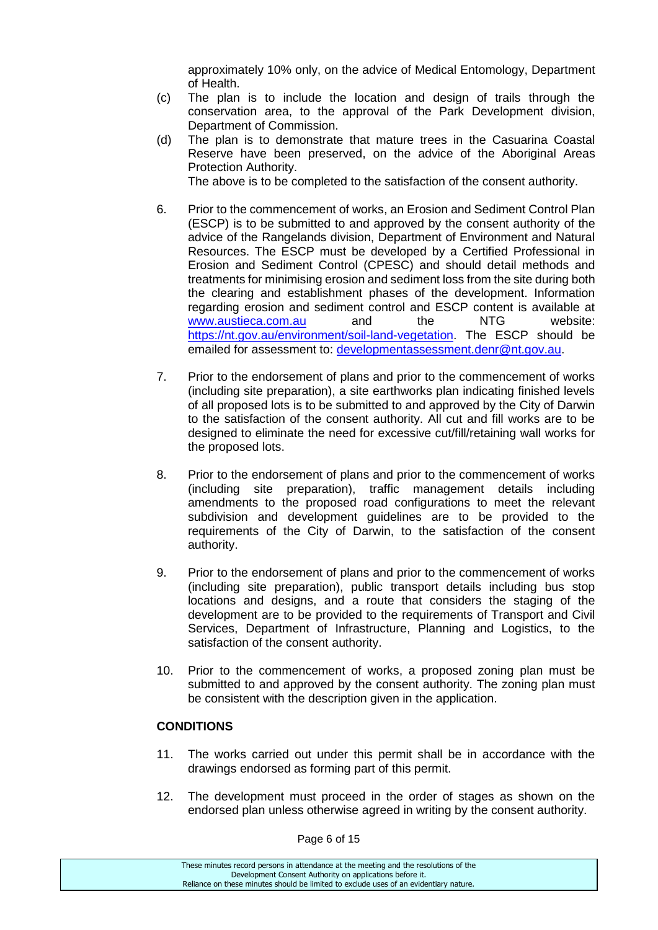approximately 10% only, on the advice of Medical Entomology, Department of Health.

- (c) The plan is to include the location and design of trails through the conservation area, to the approval of the Park Development division, Department of Commission.
- (d) The plan is to demonstrate that mature trees in the Casuarina Coastal Reserve have been preserved, on the advice of the Aboriginal Areas Protection Authority. The above is to be completed to the satisfaction of the consent authority.

6. Prior to the commencement of works, an Erosion and Sediment Control Plan (ESCP) is to be submitted to and approved by the consent authority of the advice of the Rangelands division, Department of Environment and Natural Resources. The ESCP must be developed by a Certified Professional in Erosion and Sediment Control (CPESC) and should detail methods and treatments for minimising erosion and sediment loss from the site during both the clearing and establishment phases of the development. Information regarding erosion and sediment control and ESCP content is available at [www.austieca.com.au](http://www.austieca.com.au/) and the NTG website: [https://nt.gov.au/environment/soil-land-vegetation.](https://nt.gov.au/environment/soil-land-vegetation) The ESCP should be

7. Prior to the endorsement of plans and prior to the commencement of works (including site preparation), a site earthworks plan indicating finished levels of all proposed lots is to be submitted to and approved by the City of Darwin to the satisfaction of the consent authority. All cut and fill works are to be designed to eliminate the need for excessive cut/fill/retaining wall works for the proposed lots.

emailed for assessment to: [developmentassessment.denr@nt.gov.au.](mailto:developmentassessment.denr@nt.gov.au)

- 8. Prior to the endorsement of plans and prior to the commencement of works (including site preparation), traffic management details including amendments to the proposed road configurations to meet the relevant subdivision and development quidelines are to be provided to the requirements of the City of Darwin, to the satisfaction of the consent authority.
- 9. Prior to the endorsement of plans and prior to the commencement of works (including site preparation), public transport details including bus stop locations and designs, and a route that considers the staging of the development are to be provided to the requirements of Transport and Civil Services, Department of Infrastructure, Planning and Logistics, to the satisfaction of the consent authority.
- 10. Prior to the commencement of works, a proposed zoning plan must be submitted to and approved by the consent authority. The zoning plan must be consistent with the description given in the application.

## **CONDITIONS**

- 11. The works carried out under this permit shall be in accordance with the drawings endorsed as forming part of this permit.
- 12. The development must proceed in the order of stages as shown on the endorsed plan unless otherwise agreed in writing by the consent authority.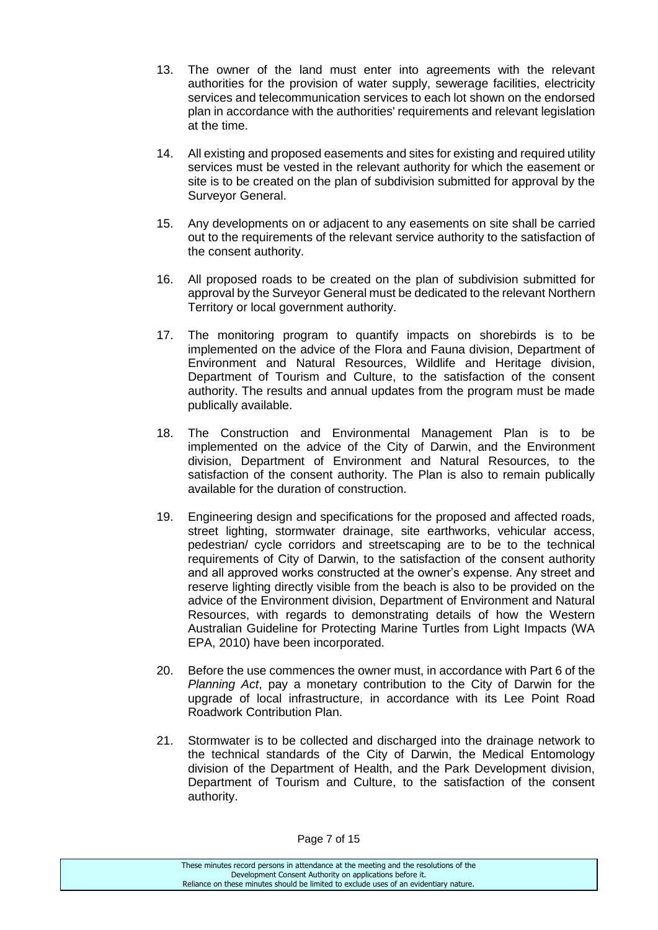- 13. The owner of the land must enter into agreements with the relevant authorities for the provision of water supply, sewerage facilities, electricity services and telecommunication services to each lot shown on the endorsed plan in accordance with the authorities' requirements and relevant legislation at the time.
- 14. All existing and proposed easements and sites for existing and required utility services must be vested in the relevant authority for which the easement or site is to be created on the plan of subdivision submitted for approval by the Surveyor General.
- 15. Any developments on or adjacent to any easements on site shall be carried out to the requirements of the relevant service authority to the satisfaction of the consent authority.
- 16. All proposed roads to be created on the plan of subdivision submitted for approval by the Surveyor General must be dedicated to the relevant Northern Territory or local government authority.
- 17. The monitoring program to quantify impacts on shorebirds is to be implemented on the advice of the Flora and Fauna division, Department of Environment and Natural Resources, Wildlife and Heritage division, Department of Tourism and Culture, to the satisfaction of the consent authority. The results and annual updates from the program must be made publically available.
- 18. The Construction and Environmental Management Plan is to be implemented on the advice of the City of Darwin, and the Environment division, Department of Environment and Natural Resources, to the satisfaction of the consent authority. The Plan is also to remain publically available for the duration of construction.
- 19. Engineering design and specifications for the proposed and affected roads, street lighting, stormwater drainage, site earthworks, vehicular access, pedestrian/ cycle corridors and streetscaping are to be to the technical requirements of City of Darwin, to the satisfaction of the consent authority and all approved works constructed at the owner's expense. Any street and reserve lighting directly visible from the beach is also to be provided on the advice of the Environment division, Department of Environment and Natural Resources, with regards to demonstrating details of how the Western Australian Guideline for Protecting Marine Turtles from Light Impacts (WA EPA, 2010) have been incorporated.
- 20. Before the use commences the owner must, in accordance with Part 6 of the *Planning Act*, pay a monetary contribution to the City of Darwin for the upgrade of local infrastructure, in accordance with its Lee Point Road Roadwork Contribution Plan.
- 21. Stormwater is to be collected and discharged into the drainage network to the technical standards of the City of Darwin, the Medical Entomology division of the Department of Health, and the Park Development division, Department of Tourism and Culture, to the satisfaction of the consent authority.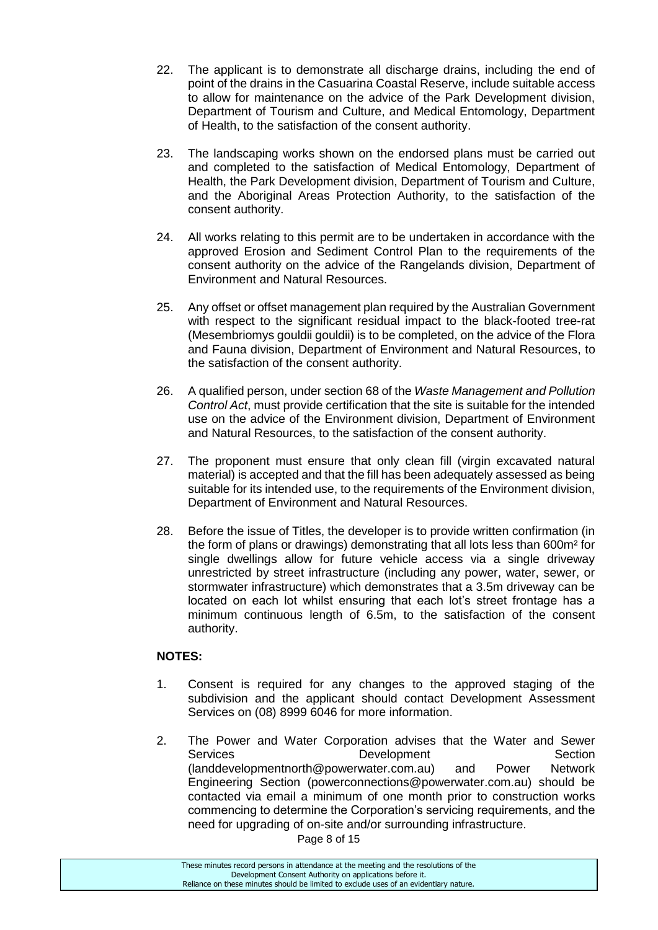- 22. The applicant is to demonstrate all discharge drains, including the end of point of the drains in the Casuarina Coastal Reserve, include suitable access to allow for maintenance on the advice of the Park Development division, Department of Tourism and Culture, and Medical Entomology, Department of Health, to the satisfaction of the consent authority.
- 23. The landscaping works shown on the endorsed plans must be carried out and completed to the satisfaction of Medical Entomology, Department of Health, the Park Development division, Department of Tourism and Culture, and the Aboriginal Areas Protection Authority, to the satisfaction of the consent authority.
- 24. All works relating to this permit are to be undertaken in accordance with the approved Erosion and Sediment Control Plan to the requirements of the consent authority on the advice of the Rangelands division, Department of Environment and Natural Resources.
- 25. Any offset or offset management plan required by the Australian Government with respect to the significant residual impact to the black-footed tree-rat (Mesembriomys gouldii gouldii) is to be completed, on the advice of the Flora and Fauna division, Department of Environment and Natural Resources, to the satisfaction of the consent authority.
- 26. A qualified person, under section 68 of the *Waste Management and Pollution Control Act*, must provide certification that the site is suitable for the intended use on the advice of the Environment division, Department of Environment and Natural Resources, to the satisfaction of the consent authority.
- 27. The proponent must ensure that only clean fill (virgin excavated natural material) is accepted and that the fill has been adequately assessed as being suitable for its intended use, to the requirements of the Environment division, Department of Environment and Natural Resources.
- 28. Before the issue of Titles, the developer is to provide written confirmation (in the form of plans or drawings) demonstrating that all lots less than 600m² for single dwellings allow for future vehicle access via a single driveway unrestricted by street infrastructure (including any power, water, sewer, or stormwater infrastructure) which demonstrates that a 3.5m driveway can be located on each lot whilst ensuring that each lot's street frontage has a minimum continuous length of 6.5m, to the satisfaction of the consent authority.

## **NOTES:**

- 1. Consent is required for any changes to the approved staging of the subdivision and the applicant should contact Development Assessment Services on (08) 8999 6046 for more information.
- 2. The Power and Water Corporation advises that the Water and Sewer Services Development Section (landdevelopmentnorth@powerwater.com.au) and Power Network Engineering Section (powerconnections@powerwater.com.au) should be contacted via email a minimum of one month prior to construction works commencing to determine the Corporation's servicing requirements, and the need for upgrading of on-site and/or surrounding infrastructure.

Page 8 of 15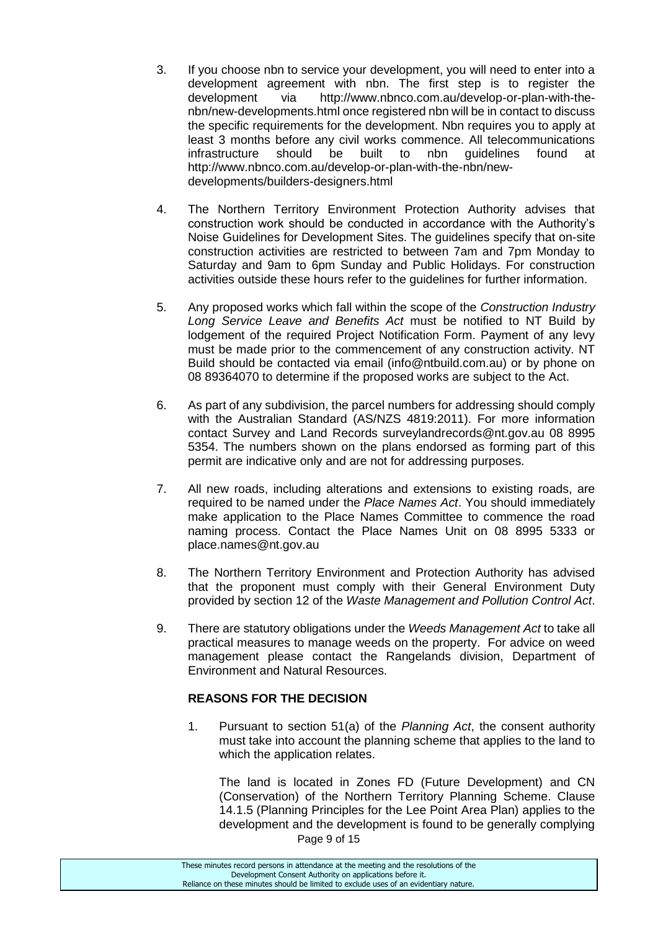- 3. If you choose nbn to service your development, you will need to enter into a development agreement with nbn. The first step is to register the development via http://www.nbnco.com.au/develop-or-plan-with-thenbn/new-developments.html once registered nbn will be in contact to discuss the specific requirements for the development. Nbn requires you to apply at least 3 months before any civil works commence. All telecommunications infrastructure should be built to nbn guidelines found at [http://www.nbnco.com.au/develop-or-plan-with-the-nbn/new](http://www.nbnco.com.au/develop-or-plan-with-the-nbn/new-developments/builders-designers.html)[developments/builders-designers.html](http://www.nbnco.com.au/develop-or-plan-with-the-nbn/new-developments/builders-designers.html)
- 4. The Northern Territory Environment Protection Authority advises that construction work should be conducted in accordance with the Authority's Noise Guidelines for Development Sites. The guidelines specify that on-site construction activities are restricted to between 7am and 7pm Monday to Saturday and 9am to 6pm Sunday and Public Holidays. For construction activities outside these hours refer to the guidelines for further information.
- 5. Any proposed works which fall within the scope of the *Construction Industry Long Service Leave and Benefits Act* must be notified to NT Build by lodgement of the required Project Notification Form. Payment of any levy must be made prior to the commencement of any construction activity. NT Build should be contacted via email (info@ntbuild.com.au) or by phone on 08 89364070 to determine if the proposed works are subject to the Act.
- 6. As part of any subdivision, the parcel numbers for addressing should comply with the Australian Standard (AS/NZS 4819:2011). For more information contact Survey and Land Records surveylandrecords@nt.gov.au 08 8995 5354. The numbers shown on the plans endorsed as forming part of this permit are indicative only and are not for addressing purposes.
- 7. All new roads, including alterations and extensions to existing roads, are required to be named under the *Place Names Act*. You should immediately make application to the Place Names Committee to commence the road naming process. Contact the Place Names Unit on 08 8995 5333 or [place.names@nt.gov.au](mailto:place.names@nt.gov.au)
- 8. The Northern Territory Environment and Protection Authority has advised that the proponent must comply with their General Environment Duty provided by section 12 of the *Waste Management and Pollution Control Act*.
- 9. There are statutory obligations under the *Weeds Management Act* to take all practical measures to manage weeds on the property. For advice on weed management please contact the Rangelands division, Department of Environment and Natural Resources.

## **REASONS FOR THE DECISION**

1. Pursuant to section 51(a) of the *Planning Act*, the consent authority must take into account the planning scheme that applies to the land to which the application relates.

Page 9 of 15 The land is located in Zones FD (Future Development) and CN (Conservation) of the Northern Territory Planning Scheme. Clause 14.1.5 (Planning Principles for the Lee Point Area Plan) applies to the development and the development is found to be generally complying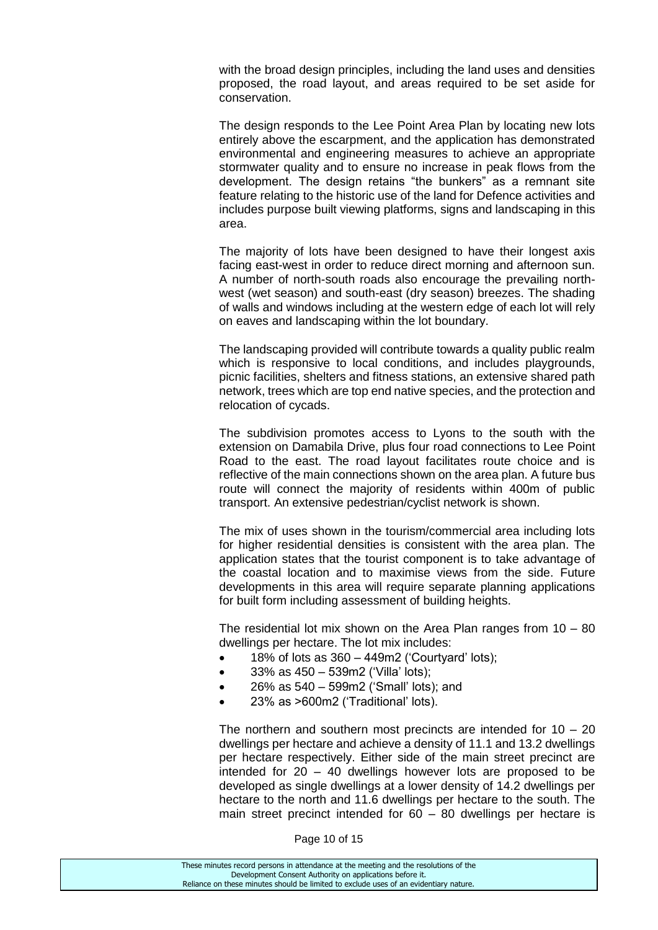with the broad design principles, including the land uses and densities proposed, the road layout, and areas required to be set aside for conservation.

The design responds to the Lee Point Area Plan by locating new lots entirely above the escarpment, and the application has demonstrated environmental and engineering measures to achieve an appropriate stormwater quality and to ensure no increase in peak flows from the development. The design retains "the bunkers" as a remnant site feature relating to the historic use of the land for Defence activities and includes purpose built viewing platforms, signs and landscaping in this area.

The majority of lots have been designed to have their longest axis facing east-west in order to reduce direct morning and afternoon sun. A number of north-south roads also encourage the prevailing northwest (wet season) and south-east (dry season) breezes. The shading of walls and windows including at the western edge of each lot will rely on eaves and landscaping within the lot boundary.

The landscaping provided will contribute towards a quality public realm which is responsive to local conditions, and includes playgrounds, picnic facilities, shelters and fitness stations, an extensive shared path network, trees which are top end native species, and the protection and relocation of cycads.

The subdivision promotes access to Lyons to the south with the extension on Damabila Drive, plus four road connections to Lee Point Road to the east. The road layout facilitates route choice and is reflective of the main connections shown on the area plan. A future bus route will connect the majority of residents within 400m of public transport. An extensive pedestrian/cyclist network is shown.

The mix of uses shown in the tourism/commercial area including lots for higher residential densities is consistent with the area plan. The application states that the tourist component is to take advantage of the coastal location and to maximise views from the side. Future developments in this area will require separate planning applications for built form including assessment of building heights.

The residential lot mix shown on the Area Plan ranges from 10 – 80 dwellings per hectare. The lot mix includes:

- $\bullet$  18% of lots as 360 449m2 ('Courtyard' lots);
- 33% as 450 539m2 ('Villa' lots);
- 26% as 540 599m2 ('Small' lots); and
- 23% as >600m2 ('Traditional' lots).

The northern and southern most precincts are intended for  $10 - 20$ dwellings per hectare and achieve a density of 11.1 and 13.2 dwellings per hectare respectively. Either side of the main street precinct are intended for 20 – 40 dwellings however lots are proposed to be developed as single dwellings at a lower density of 14.2 dwellings per hectare to the north and 11.6 dwellings per hectare to the south. The main street precinct intended for 60 – 80 dwellings per hectare is

Page 10 of 15

| These minutes record persons in attendance at the meeting and the resolutions of the  |
|---------------------------------------------------------------------------------------|
| Development Consent Authority on applications before it.                              |
| Reliance on these minutes should be limited to exclude uses of an evidentiary nature. |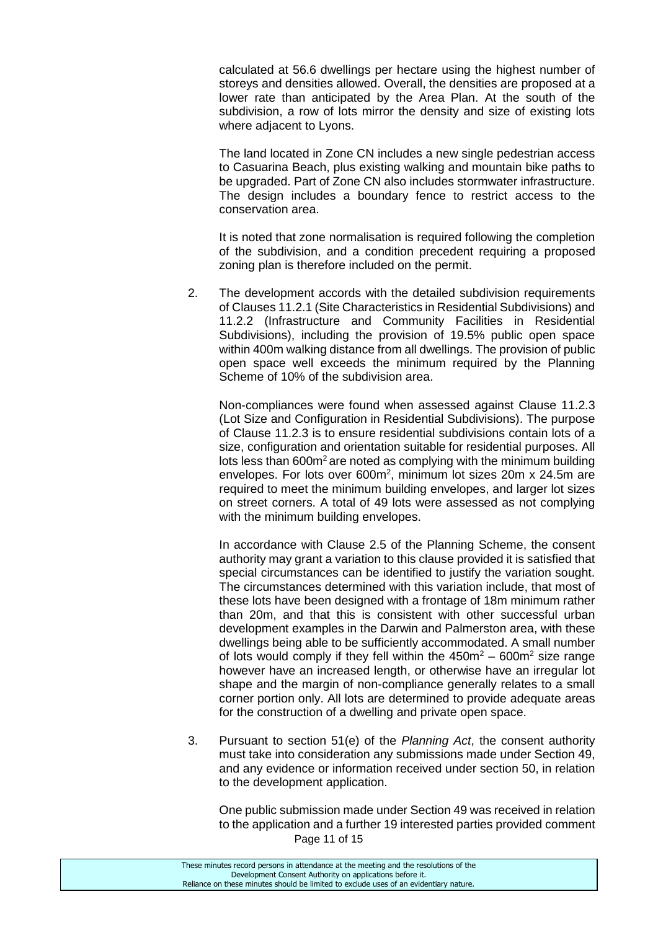calculated at 56.6 dwellings per hectare using the highest number of storeys and densities allowed. Overall, the densities are proposed at a lower rate than anticipated by the Area Plan. At the south of the subdivision, a row of lots mirror the density and size of existing lots where adjacent to Lyons.

The land located in Zone CN includes a new single pedestrian access to Casuarina Beach, plus existing walking and mountain bike paths to be upgraded. Part of Zone CN also includes stormwater infrastructure. The design includes a boundary fence to restrict access to the conservation area.

It is noted that zone normalisation is required following the completion of the subdivision, and a condition precedent requiring a proposed zoning plan is therefore included on the permit.

2. The development accords with the detailed subdivision requirements of Clauses 11.2.1 (Site Characteristics in Residential Subdivisions) and 11.2.2 (Infrastructure and Community Facilities in Residential Subdivisions), including the provision of 19.5% public open space within 400m walking distance from all dwellings. The provision of public open space well exceeds the minimum required by the Planning Scheme of 10% of the subdivision area.

Non-compliances were found when assessed against Clause 11.2.3 (Lot Size and Configuration in Residential Subdivisions). The purpose of Clause 11.2.3 is to ensure residential subdivisions contain lots of a size, configuration and orientation suitable for residential purposes. All lots less than  $600<sup>m²</sup>$  are noted as complying with the minimum building envelopes. For lots over 600m<sup>2</sup>, minimum lot sizes 20m x 24.5m are required to meet the minimum building envelopes, and larger lot sizes on street corners. A total of 49 lots were assessed as not complying with the minimum building envelopes.

In accordance with Clause 2.5 of the Planning Scheme, the consent authority may grant a variation to this clause provided it is satisfied that special circumstances can be identified to justify the variation sought. The circumstances determined with this variation include, that most of these lots have been designed with a frontage of 18m minimum rather than 20m, and that this is consistent with other successful urban development examples in the Darwin and Palmerston area, with these dwellings being able to be sufficiently accommodated. A small number of lots would comply if they fell within the  $450m^2 - 600m^2$  size range however have an increased length, or otherwise have an irregular lot shape and the margin of non-compliance generally relates to a small corner portion only. All lots are determined to provide adequate areas for the construction of a dwelling and private open space.

3. Pursuant to section 51(e) of the *Planning Act*, the consent authority must take into consideration any submissions made under Section 49, and any evidence or information received under section 50, in relation to the development application.

Page 11 of 15 One public submission made under Section 49 was received in relation to the application and a further 19 interested parties provided comment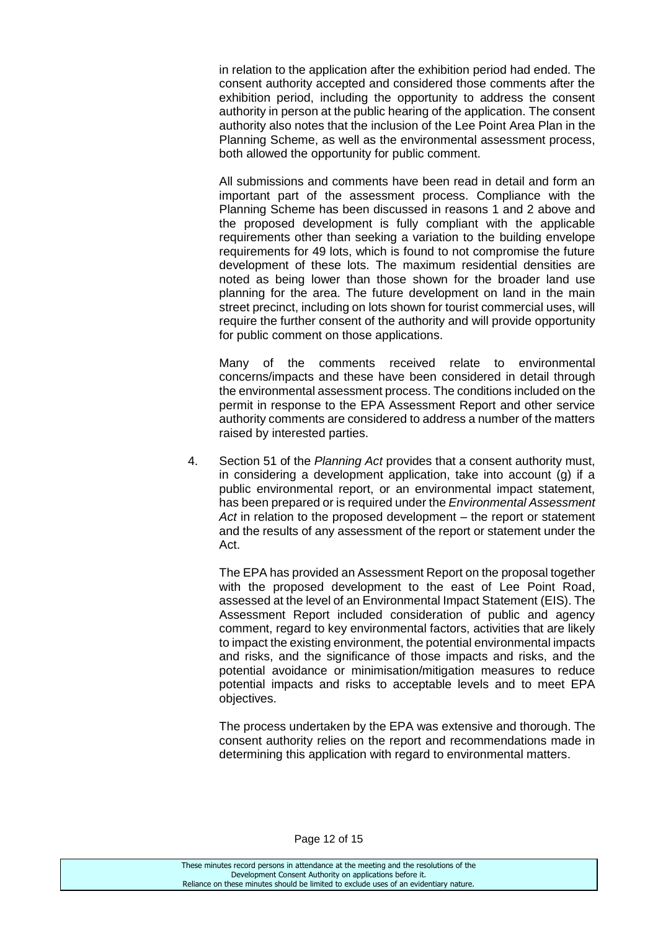in relation to the application after the exhibition period had ended. The consent authority accepted and considered those comments after the exhibition period, including the opportunity to address the consent authority in person at the public hearing of the application. The consent authority also notes that the inclusion of the Lee Point Area Plan in the Planning Scheme, as well as the environmental assessment process, both allowed the opportunity for public comment.

All submissions and comments have been read in detail and form an important part of the assessment process. Compliance with the Planning Scheme has been discussed in reasons 1 and 2 above and the proposed development is fully compliant with the applicable requirements other than seeking a variation to the building envelope requirements for 49 lots, which is found to not compromise the future development of these lots. The maximum residential densities are noted as being lower than those shown for the broader land use planning for the area. The future development on land in the main street precinct, including on lots shown for tourist commercial uses, will require the further consent of the authority and will provide opportunity for public comment on those applications.

Many of the comments received relate to environmental concerns/impacts and these have been considered in detail through the environmental assessment process. The conditions included on the permit in response to the EPA Assessment Report and other service authority comments are considered to address a number of the matters raised by interested parties.

4. Section 51 of the *Planning Act* provides that a consent authority must, in considering a development application, take into account (g) if a public environmental report, or an environmental impact statement, has been prepared or is required under the *Environmental Assessment Act* in relation to the proposed development – the report or statement and the results of any assessment of the report or statement under the Act.

The EPA has provided an Assessment Report on the proposal together with the proposed development to the east of Lee Point Road, assessed at the level of an Environmental Impact Statement (EIS). The Assessment Report included consideration of public and agency comment, regard to key environmental factors, activities that are likely to impact the existing environment, the potential environmental impacts and risks, and the significance of those impacts and risks, and the potential avoidance or minimisation/mitigation measures to reduce potential impacts and risks to acceptable levels and to meet EPA objectives.

The process undertaken by the EPA was extensive and thorough. The consent authority relies on the report and recommendations made in determining this application with regard to environmental matters.

These minutes record persons in attendance at the meeting and the resolutions of the Development Consent Authority on applications before it. Reliance on these minutes should be limited to exclude uses of an evidentiary nature.

#### Page 12 of 15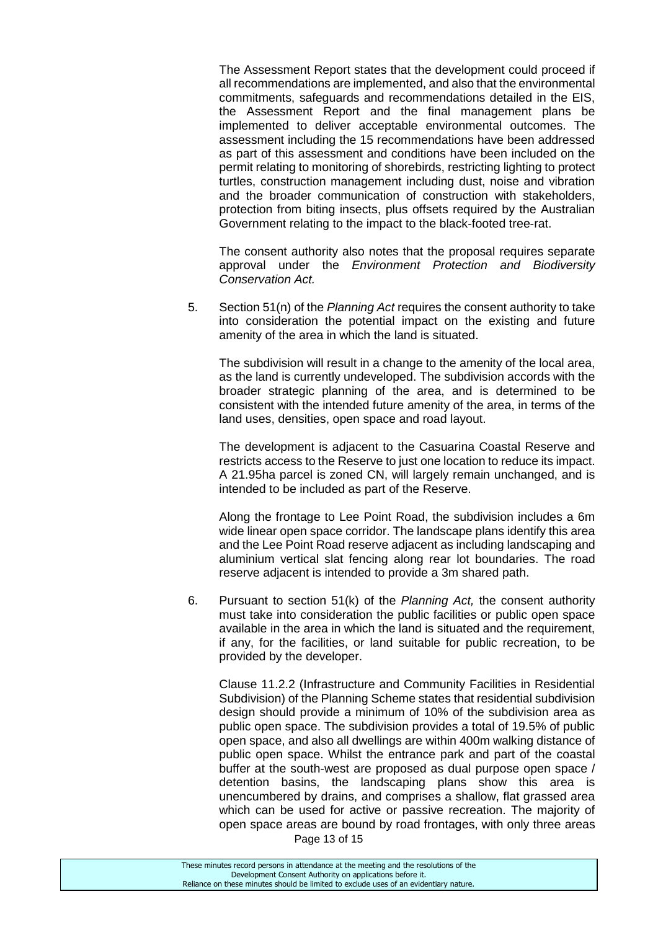The Assessment Report states that the development could proceed if all recommendations are implemented, and also that the environmental commitments, safeguards and recommendations detailed in the EIS, the Assessment Report and the final management plans be implemented to deliver acceptable environmental outcomes. The assessment including the 15 recommendations have been addressed as part of this assessment and conditions have been included on the permit relating to monitoring of shorebirds, restricting lighting to protect turtles, construction management including dust, noise and vibration and the broader communication of construction with stakeholders, protection from biting insects, plus offsets required by the Australian Government relating to the impact to the black-footed tree-rat.

The consent authority also notes that the proposal requires separate approval under the *Environment Protection and Biodiversity Conservation Act.*

5. Section 51(n) of the *Planning Act* requires the consent authority to take into consideration the potential impact on the existing and future amenity of the area in which the land is situated.

The subdivision will result in a change to the amenity of the local area, as the land is currently undeveloped. The subdivision accords with the broader strategic planning of the area, and is determined to be consistent with the intended future amenity of the area, in terms of the land uses, densities, open space and road layout.

The development is adjacent to the Casuarina Coastal Reserve and restricts access to the Reserve to just one location to reduce its impact. A 21.95ha parcel is zoned CN, will largely remain unchanged, and is intended to be included as part of the Reserve.

Along the frontage to Lee Point Road, the subdivision includes a 6m wide linear open space corridor. The landscape plans identify this area and the Lee Point Road reserve adjacent as including landscaping and aluminium vertical slat fencing along rear lot boundaries. The road reserve adjacent is intended to provide a 3m shared path.

6. Pursuant to section 51(k) of the *Planning Act,* the consent authority must take into consideration the public facilities or public open space available in the area in which the land is situated and the requirement, if any, for the facilities, or land suitable for public recreation, to be provided by the developer.

Page 13 of 15 Clause 11.2.2 (Infrastructure and Community Facilities in Residential Subdivision) of the Planning Scheme states that residential subdivision design should provide a minimum of 10% of the subdivision area as public open space. The subdivision provides a total of 19.5% of public open space, and also all dwellings are within 400m walking distance of public open space. Whilst the entrance park and part of the coastal buffer at the south-west are proposed as dual purpose open space / detention basins, the landscaping plans show this area is unencumbered by drains, and comprises a shallow, flat grassed area which can be used for active or passive recreation. The majority of open space areas are bound by road frontages, with only three areas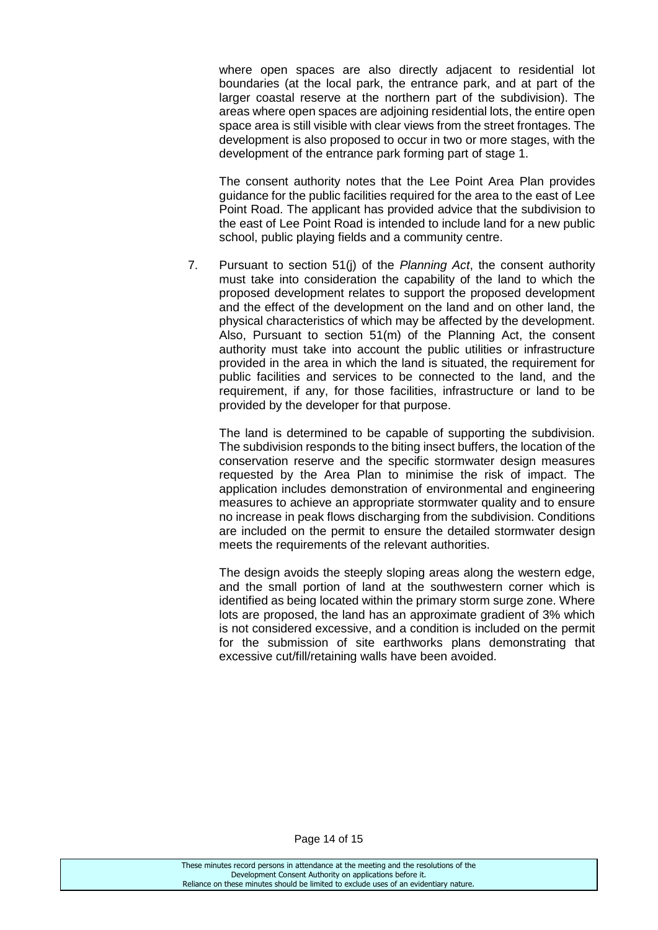where open spaces are also directly adjacent to residential lot boundaries (at the local park, the entrance park, and at part of the larger coastal reserve at the northern part of the subdivision). The areas where open spaces are adjoining residential lots, the entire open space area is still visible with clear views from the street frontages. The development is also proposed to occur in two or more stages, with the development of the entrance park forming part of stage 1.

The consent authority notes that the Lee Point Area Plan provides guidance for the public facilities required for the area to the east of Lee Point Road. The applicant has provided advice that the subdivision to the east of Lee Point Road is intended to include land for a new public school, public playing fields and a community centre.

7. Pursuant to section 51(j) of the *Planning Act*, the consent authority must take into consideration the capability of the land to which the proposed development relates to support the proposed development and the effect of the development on the land and on other land, the physical characteristics of which may be affected by the development. Also, Pursuant to section 51(m) of the Planning Act, the consent authority must take into account the public utilities or infrastructure provided in the area in which the land is situated, the requirement for public facilities and services to be connected to the land, and the requirement, if any, for those facilities, infrastructure or land to be provided by the developer for that purpose.

The land is determined to be capable of supporting the subdivision. The subdivision responds to the biting insect buffers, the location of the conservation reserve and the specific stormwater design measures requested by the Area Plan to minimise the risk of impact. The application includes demonstration of environmental and engineering measures to achieve an appropriate stormwater quality and to ensure no increase in peak flows discharging from the subdivision. Conditions are included on the permit to ensure the detailed stormwater design meets the requirements of the relevant authorities.

The design avoids the steeply sloping areas along the western edge, and the small portion of land at the southwestern corner which is identified as being located within the primary storm surge zone. Where lots are proposed, the land has an approximate gradient of 3% which is not considered excessive, and a condition is included on the permit for the submission of site earthworks plans demonstrating that excessive cut/fill/retaining walls have been avoided.